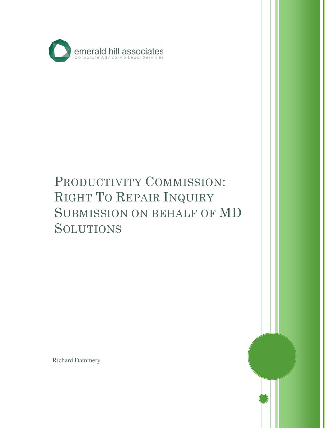

# PRODUCTIVITY COMMISSION: RIGHT TO REPAIR INQUIRY SUBMISSION ON BEHALF OF MD SOLUTIONS

**0** 

I

Richard Dammery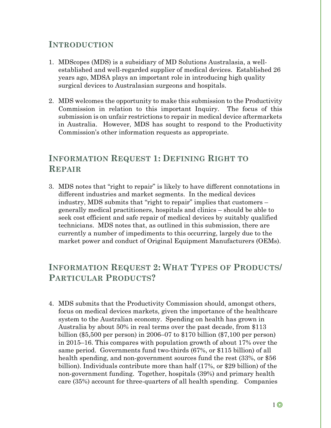## **INTRODUCTION**

- 1. MDScopes (MDS) is a subsidiary of MD Solutions Australasia, a wellestablished and well-regarded supplier of medical devices. Established 26 years ago, MDSA plays an important role in introducing high quality surgical devices to Australasian surgeons and hospitals.
- 2. MDS welcomes the opportunity to make this submission to the Productivity Commission in relation to this important Inquiry. The focus of this submission is on unfair restrictions to repair in medical device aftermarkets in Australia. However, MDS has sought to respond to the Productivity Commission's other information requests as appropriate.

# **INFORMATION REQUEST 1: DEFINING RIGHT TO REPAIR**

3. MDS notes that "right to repair" is likely to have different connotations in different industries and market segments. In the medical devices industry, MDS submits that "right to repair" implies that customers – generally medical practitioners, hospitals and clinics – should be able to seek cost efficient and safe repair of medical devices by suitably qualified technicians. MDS notes that, as outlined in this submission, there are currently a number of impediments to this occurring, largely due to the market power and conduct of Original Equipment Manufacturers (OEMs).

# **INFORMATION REQUEST 2: WHAT TYPES OF PRODUCTS/ PARTICULAR PRODUCTS?**

4. MDS submits that the Productivity Commission should, amongst others, focus on medical devices markets, given the importance of the healthcare system to the Australian economy. Spending on health has grown in Australia by about 50% in real terms over the past decade, from \$113 billion (\$5,500 per person) in 2006–07 to \$170 billion (\$7,100 per person) in 2015–16. This compares with population growth of about 17% over the same period. Governments fund two-thirds (67%, or \$115 billion) of all health spending, and non-government sources fund the rest  $(33\%, \text{ or } $56$ billion). Individuals contribute more than half (17%, or \$29 billion) of the non-government funding. Together, hospitals (39%) and primary health care (35%) account for three-quarters of all health spending. Companies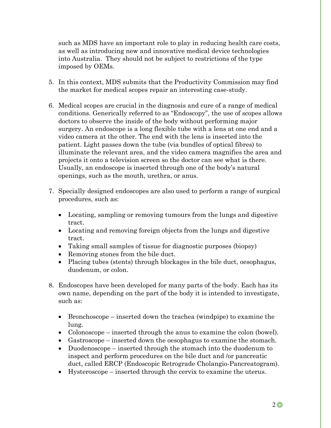such as MDS have an important role to play in reducing health care costs, as well as introducing new and innovative medical device technologies into Australia. They should not be subject to restrictions of the type imposed by OEMs.

- 5. In this context, MDS submits that the Productivity Commission may find the market for medical scopes repair an interesting case-study.
- 6. Medical scopes are crucial in the diagnosis and cure of a range of medical conditions. Generically referred to as "Endoscopy", the use of scopes allows doctors to observe the inside of the body without performing major surgery. An endoscope is a long flexible tube with a lens at one end and a video camera at the other. The end with the lens is inserted into the patient. Light passes down the tube (via bundles of optical fibres) to illuminate the relevant area, and the video camera magnifies the area and projects it onto a television screen so the doctor can see what is there. Usually, an endoscope is inserted through one of the body's natural openings, such as the mouth, urethra, or anus.
- 7. Specially designed endoscopes are also used to perform a range of surgical procedures, such as:
	- Locating, sampling or removing tumours from the lungs and digestive tract.
	- Locating and removing foreign objects from the lungs and digestive tract.
	- Taking small samples of tissue for diagnostic purposes (biopsy)
	- Removing stones from the bile duct.
	- Placing tubes (stents) through blockages in the bile duct, oesophagus, duodenum, or colon.
- 8. Endoscopes have been developed for many parts of the body. Each has its own name, depending on the part of the body it is intended to investigate, such as:
	- Bronchoscope inserted down the trachea (windpipe) to examine the lung.
	- Colonoscope inserted through the anus to examine the colon (bowel).
	- Gastroscope inserted down the oesophagus to examine the stomach.
	- Duodenoscope inserted through the stomach into the duodenum to inspect and perform procedures on the bile duct and /or pancreatic duct, called ERCP (Endoscopic Retrograde Cholangio-Pancreatogram).
	- Hysteroscope inserted through the cervix to examine the uterus.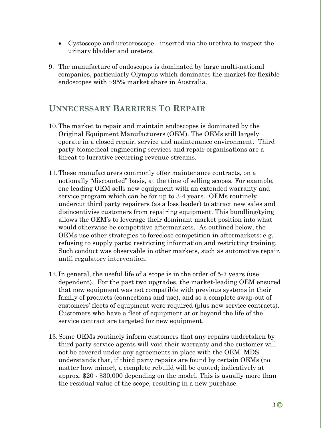- Cystoscope and ureteroscope inserted via the urethra to inspect the urinary bladder and ureters.
- 9. The manufacture of endoscopes is dominated by large multi-national companies, particularly Olympus which dominates the market for flexible endoscopes with ~95% market share in Australia.

## **UNNECESSARY BARRIERS TO REPAIR**

- 10.The market to repair and maintain endoscopes is dominated by the Original Equipment Manufacturers (OEM). The OEMs still largely operate in a closed repair, service and maintenance environment. Third party biomedical engineering services and repair organisations are a threat to lucrative recurring revenue streams.
- 11.These manufacturers commonly offer maintenance contracts, on a notionally "discounted" basis, at the time of selling scopes. For example, one leading OEM sells new equipment with an extended warranty and service program which can be for up to 3-4 years. OEMs routinely undercut third party repairers (as a loss leader) to attract new sales and disincentivise customers from repairing equipment. This bundling/tying allows the OEM's to leverage their dominant market position into what would otherwise be competitive aftermarkets. As outlined below, the OEMs use other strategies to foreclose competition in aftermarkets: e.g. refusing to supply parts; restricting information and restricting training. Such conduct was observable in other markets, such as automotive repair, until regulatory intervention.
- 12. In general, the useful life of a scope is in the order of 5-7 years (use dependent). For the past two upgrades, the market-leading OEM ensured that new equipment was not compatible with previous systems in their family of products (connections and use), and so a complete swap-out of customers' fleets of equipment were required (plus new service contracts). Customers who have a fleet of equipment at or beyond the life of the service contract are targeted for new equipment.
- 13.Some OEMs routinely inform customers that any repairs undertaken by third party service agents will void their warranty and the customer will not be covered under any agreements in place with the OEM. MDS understands that, if third party repairs are found by certain OEMs (no matter how minor), a complete rebuild will be quoted; indicatively at approx. \$20 - \$30,000 depending on the model. This is usually more than the residual value of the scope, resulting in a new purchase.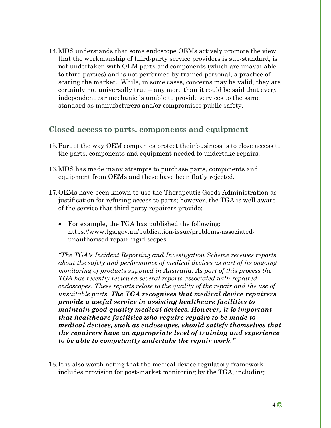14.MDS understands that some endoscope OEMs actively promote the view that the workmanship of third-party service providers is sub-standard, is not undertaken with OEM parts and components (which are unavailable to third parties) and is not performed by trained personal, a practice of scaring the market. While, in some cases, concerns may be valid, they are certainly not universally true – any more than it could be said that every independent car mechanic is unable to provide services to the same standard as manufacturers and/or compromises public safety.

### **Closed access to parts, components and equipment**

- 15.Part of the way OEM companies protect their business is to close access to the parts, components and equipment needed to undertake repairs.
- 16.MDS has made many attempts to purchase parts, components and equipment from OEMs and these have been flatly rejected.
- 17.OEMs have been known to use the Therapeutic Goods Administration as justification for refusing access to parts; however, the TGA is well aware of the service that third party repairers provide:
	- For example, the TGA has published the following: https://www.tga.gov.au/publication-issue/problems-associatedunauthorised-repair-rigid-scopes

*"The TGA's Incident Reporting and Investigation Scheme receives reports about the safety and performance of medical devices as part of its ongoing monitoring of products supplied in Australia. As part of this process the TGA has recently reviewed several reports associated with repaired endoscopes. These reports relate to the quality of the repair and the use of unsuitable parts. The TGA recognises that medical device repairers provide a useful service in assisting healthcare facilities to maintain good quality medical devices. However, it is important that healthcare facilities who require repairs to be made to medical devices, such as endoscopes, should satisfy themselves that the repairers have an appropriate level of training and experience to be able to competently undertake the repair work."*

18. It is also worth noting that the medical device regulatory framework includes provision for post-market monitoring by the TGA, including: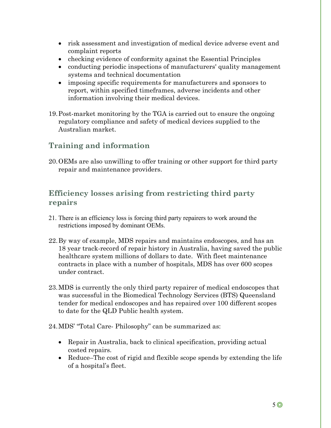- risk assessment and investigation of medical device adverse event and complaint reports
- checking evidence of conformity against the Essential Principles
- conducting periodic inspections of manufacturers' quality management systems and technical documentation
- imposing specific requirements for manufacturers and sponsors to report, within specified timeframes, adverse incidents and other information involving their medical devices.
- 19.Post-market monitoring by the TGA is carried out to ensure the ongoing regulatory compliance and safety of medical devices supplied to the Australian market.

## **Training and information**

20.OEMs are also unwilling to offer training or other support for third party repair and maintenance providers.

## **Efficiency losses arising from restricting third party repairs**

- 21. There is an efficiency loss is forcing third party repairers to work around the restrictions imposed by dominant OEMs.
- 22.By way of example, MDS repairs and maintains endoscopes, and has an 18 year track-record of repair history in Australia, having saved the public healthcare system millions of dollars to date. With fleet maintenance contracts in place with a number of hospitals, MDS has over 600 scopes under contract.
- 23.MDS is currently the only third party repairer of medical endoscopes that was successful in the Biomedical Technology Services (BTS) Queensland tender for medical endoscopes and has repaired over 100 different scopes to date for the QLD Public health system.
- 24.MDS' "Total Care- Philosophy" can be summarized as:
	- Repair in Australia, back to clinical specification, providing actual costed repairs.
	- Reduce–The cost of rigid and flexible scope spends by extending the life of a hospital's fleet.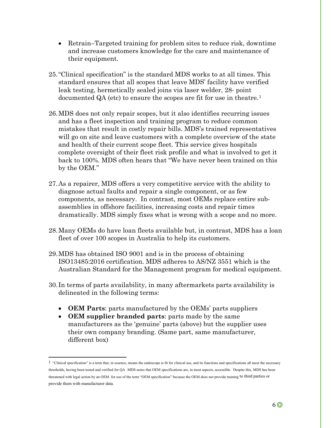- Retrain–Targeted training for problem sites to reduce risk, downtime and increase customers knowledge for the care and maintenance of their equipment.
- 25."Clinical specification" is the standard MDS works to at all times. This standard ensures that all scopes that leave MDS' facility have verified leak testing, hermetically sealed joins via laser welder, 28- point documented QA (etc) to ensure the scopes are fit for use in theatre.<sup>[1](#page-6-0)</sup>
- 26.MDS does not only repair scopes, but it also identifies recurring issues and has a fleet inspection and training program to reduce common mistakes that result in costly repair bills. MDS's trained representatives will go on site and leave customers with a complete overview of the state and health of their current scope fleet. This service gives hospitals complete oversight of their fleet risk profile and what is involved to get it back to 100%. MDS often hears that "We have never been trained on this by the OEM."
- 27.As a repairer, MDS offers a very competitive service with the ability to diagnose actual faults and repair a single component, or as few components, as necessary. In contrast, most OEMs replace entire subassemblies in offshore facilities, increasing costs and repair times dramatically. MDS simply fixes what is wrong with a scope and no more.
- 28.Many OEMs do have loan fleets available but, in contrast, MDS has a loan fleet of over 100 scopes in Australia to help its customers.
- 29.MDS has obtained ISO 9001 and is in the process of obtaining ISO13485:2016 certification. MDS adheres to AS/NZ 3551 which is the Australian Standard for the Management program for medical equipment.
- 30. In terms of parts availability, in many aftermarkets parts availability is delineated in the following terms:
	- **OEM Parts**: parts manufactured by the OEMs' parts suppliers
	- **OEM supplier branded parts**: parts made by the same manufacturers as the 'genuine' parts (above) but the supplier uses their own company branding. (Same part, same manufacturer, different box)

<span id="page-6-0"></span><sup>1</sup> "Clinical specification" is a term that, in essence, means the endoscope is fit for clinical use, and its functions and specifications all meet the necessary thresholds, having been tested and verified for QA .MDS notes that OEM specifications are, in most aspects, accessible. Despite this, MDS has been threatened with legal action by an OEM for use of the term "OEM specification" because the OEM does not provide training to third parties or provide them with manufacturer data.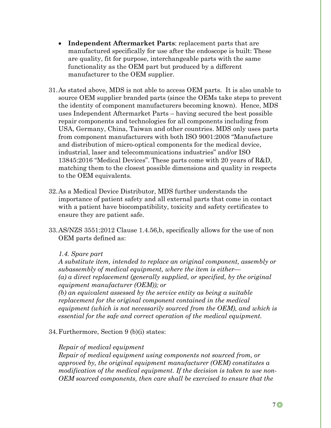- **Independent Aftermarket Parts**: replacement parts that are manufactured specifically for use after the endoscope is built: These are quality, fit for purpose, interchangeable parts with the same functionality as the OEM part but produced by a different manufacturer to the OEM supplier.
- 31.As stated above, MDS is not able to access OEM parts. It is also unable to source OEM supplier branded parts (since the OEMs take steps to prevent the identity of component manufacturers becoming known). Hence, MDS uses Independent Aftermarket Parts – having secured the best possible repair components and technologies for all components including from USA, Germany, China, Taiwan and other countries. MDS only uses parts from component manufacturers with both ISO 9001:2008 "Manufacture and distribution of micro-optical components for the medical device, industrial, laser and telecommunications industries" and/or ISO 13845:2016 "Medical Devices". These parts come with 20 years of R&D, matching them to the closest possible dimensions and quality in respects to the OEM equivalents.
- 32.As a Medical Device Distributor, MDS further understands the importance of patient safety and all external parts that come in contact with a patient have biocompatibility, toxicity and safety certificates to ensure they are patient safe.
- 33.AS/NZS 3551:2012 Clause 1.4.56,b, specifically allows for the use of non OEM parts defined as:

#### *1.4. Spare part*

*A substitute item, intended to replace an original component, assembly or subassembly of medical equipment, where the item is either— (a) a direct replacement (generally supplied, or specified, by the original equipment manufacturer (OEM)); or*

*(b) an equivalent assessed by the service entity as being a suitable replacement for the original component contained in the medical equipment (which is not necessarily sourced from the OEM), and which is essential for the safe and correct operation of the medical equipment.*

34.Furthermore, Section 9 (b)(i) states:

#### *Repair of medical equipment*

*Repair of medical equipment using components not sourced from, or approved by, the original equipment manufacturer (OEM) constitutes a modification of the medical equipment. If the decision is taken to use non-OEM sourced components, then care shall be exercised to ensure that the*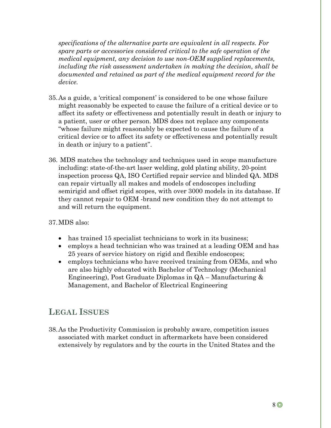*specifications of the alternative parts are equivalent in all respects. For spare parts or accessories considered critical to the safe operation of the medical equipment, any decision to use non-OEM supplied replacements, including the risk assessment undertaken in making the decision, shall be documented and retained as part of the medical equipment record for the device.*

- 35.As a guide, a 'critical component' is considered to be one whose failure might reasonably be expected to cause the failure of a critical device or to affect its safety or effectiveness and potentially result in death or injury to a patient, user or other person. MDS does not replace any components "whose failure might reasonably be expected to cause the failure of a critical device or to affect its safety or effectiveness and potentially result in death or injury to a patient".
- 36. MDS matches the technology and techniques used in scope manufacture including: state-of-the-art laser welding, gold plating ability, 20-point inspection process QA, ISO Certified repair service and blinded QA. MDS can repair virtually all makes and models of endoscopes including semirigid and offset rigid scopes, with over 3000 models in its database. If they cannot repair to OEM -brand new condition they do not attempt to and will return the equipment.

### 37.MDS also:

- has trained 15 specialist technicians to work in its business;
- employs a head technician who was trained at a leading OEM and has 25 years of service history on rigid and flexible endoscopes;
- employs technicians who have received training from OEMs, and who are also highly educated with Bachelor of Technology (Mechanical Engineering), Post Graduate Diplomas in QA – Manufacturing & Management, and Bachelor of Electrical Engineering

# **LEGAL ISSUES**

38.As the Productivity Commission is probably aware, competition issues associated with market conduct in aftermarkets have been considered extensively by regulators and by the courts in the United States and the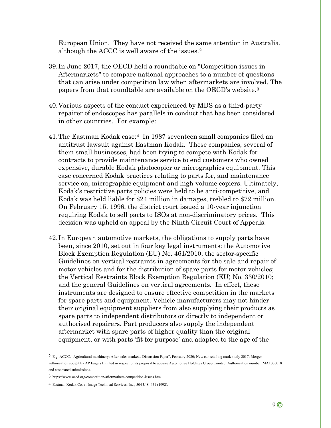European Union. They have not received the same attention in Australia, although the ACCC is well aware of the issues.[2](#page-9-0)

- 39. In June 2017, the OECD held a roundtable on "Competition issues in Aftermarkets" to compare national approaches to a number of questions that can arise under competition law when aftermarkets are involved. The papers from that roundtable are available on the OECD's website.[3](#page-9-1)
- 40.Various aspects of the conduct experienced by MDS as a third-party repairer of endoscopes has parallels in conduct that has been considered in other countries. For example:
- 41.The Eastman Kodak case:[4](#page-9-2) In 1987 seventeen small companies filed an antitrust lawsuit against Eastman Kodak. These companies, several of them small businesses, had been trying to compete with Kodak for contracts to provide maintenance service to end customers who owned expensive, durable Kodak photocopier or micrographics equipment. This case concerned Kodak practices relating to parts for, and maintenance service on, micrographic equipment and high-volume copiers. Ultimately, Kodak's restrictive parts policies were held to be anti-competitive, and Kodak was held liable for \$24 million in damages, trebled to \$72 million. On February 15, 1996, the district court issued a 10-year injunction requiring Kodak to sell parts to ISOs at non-discriminatory prices. This decision was upheld on appeal by the Ninth Circuit Court of Appeals.
- 42. In European automotive markets, the obligations to supply parts have been, since 2010, set out in four key legal instruments: the Automotive Block Exemption Regulation (EU) No. 461/2010; the sector-specific Guidelines on vertical restraints in agreements for the sale and repair of motor vehicles and for the distribution of spare parts for motor vehicles; the Vertical Restraints Block Exemption Regulation (EU) No. 330/2010; and the general Guidelines on vertical agreements. In effect, these instruments are designed to ensure effective competition in the markets for spare parts and equipment. Vehicle manufacturers may not hinder their original equipment suppliers from also supplying their products as spare parts to independent distributors or directly to independent or authorised repairers. Part producers also supply the independent aftermarket with spare parts of higher quality than the original equipment, or with parts 'fit for purpose' and adapted to the age of the

<span id="page-9-0"></span><sup>2</sup> E.g. ACCC, "Agricultural machinery: After-sales markets. Discussion Paper", February 2020; New car retailing mark study 2017; Merger authorisation sought by AP Eagers Limited in respect of its proposal to acquire Automotive Holdings Group Limited. Authorisation number: MA1000018 and associated submissions.

<span id="page-9-1"></span><sup>3</sup> https://www.oecd.org/competition/aftermarkets-competition-issues.htm

<span id="page-9-2"></span><sup>4</sup> Eastman Kodak Co. v. Image Technical Services, Inc., 504 U.S. 451 (1992).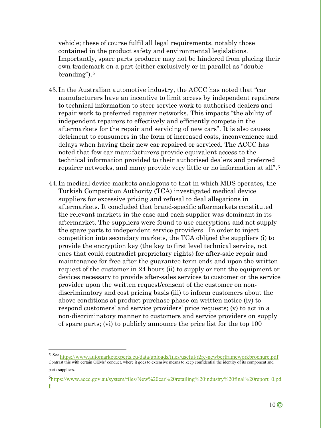vehicle; these of course fulfil all legal requirements, notably those contained in the product safety and environmental legislations. Importantly, spare parts producer may not be hindered from placing their own trademark on a part (either exclusively or in parallel as "double branding").[5](#page-10-0)

- 43. In the Australian automotive industry, the ACCC has noted that "car manufacturers have an incentive to limit access by independent repairers to technical information to steer service work to authorised dealers and repair work to preferred repairer networks. This impacts "the ability of independent repairers to effectively and efficiently compete in the aftermarkets for the repair and servicing of new cars". It is also causes detriment to consumers in the form of increased costs, inconvenience and delays when having their new car repaired or serviced. The ACCC has noted that few car manufacturers provide equivalent access to the technical information provided to their authorised dealers and preferred repairer networks, and many provide very little or no information at all".[6](#page-10-1)
- 44. In medical device markets analogous to that in which MDS operates, the Turkish Competition Authority (TCA) investigated medical device suppliers for excessive pricing and refusal to deal allegations in aftermarkets. It concluded that brand-specific aftermarkets constituted the relevant markets in the case and each supplier was dominant in its aftermarket. The suppliers were found to use encryptions and not supply the spare parts to independent service providers. In order to inject competition into secondary markets, the TCA obliged the suppliers (i) to provide the encryption key (the key to first level technical service, not ones that could contradict proprietary rights) for after-sale repair and maintenance for free after the guarantee term ends and upon the written request of the customer in 24 hours (ii) to supply or rent the equipment or devices necessary to provide after-sales services to customer or the service provider upon the written request/consent of the customer on nondiscriminatory and cost pricing basis (iii) to inform customers about the above conditions at product purchase phase on written notice (iv) to respond customers' and service providers' price requests; (v) to act in a non-discriminatory manner to customers and service providers on supply of spare parts; (vi) to publicly announce the price list for the top 100

<span id="page-10-0"></span><sup>5</sup> Se[e https://www.automarketexperts.eu/data/uploads/files/useful/r2rc-newberframeworkbrochure.pdf.](https://www.automarketexperts.eu/data/uploads/files/useful/r2rc-newberframeworkbrochure.pdf) Contrast this with certain OEMs' conduct, where it goes to extensive means to keep confidential the identity of its component and parts suppliers.

<span id="page-10-1"></span><sup>&</sup>lt;sup>6</sup>[https://www.accc.gov.au/system/files/New%20car%20retailing%20industry%20final%20report\\_0.pd](https://www.accc.gov.au/system/files/New%20car%20retailing%20industry%20final%20report_0.pdf) [f](https://www.accc.gov.au/system/files/New%20car%20retailing%20industry%20final%20report_0.pdf)